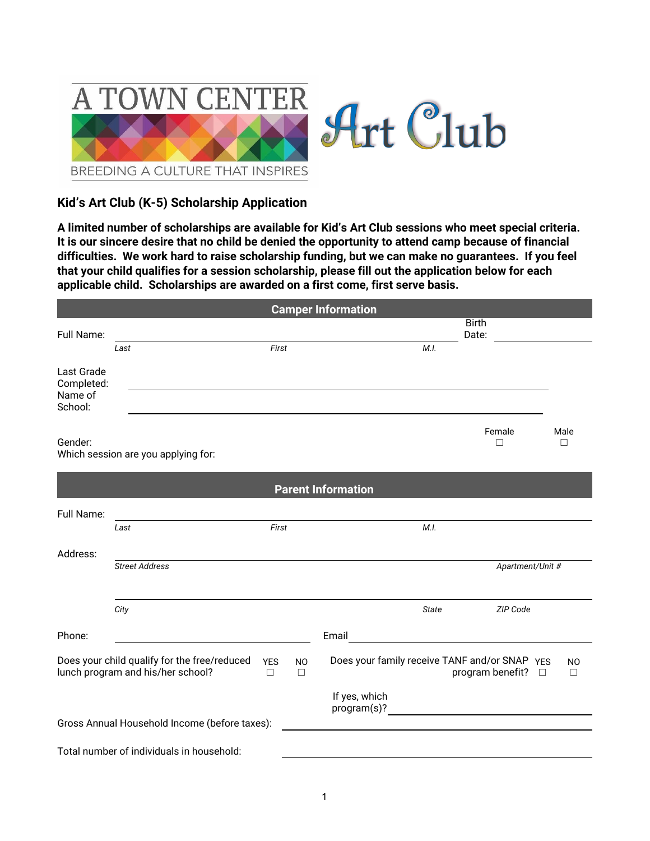

## **Kid's Art Club (K-5) Scholarship Application**

**A limited number of scholarships are available for Kid's Art Club sessions who meet special criteria.** It is our sincere desire that no child be denied the opportunity to attend camp because of financial **difficulties. We work hard to raise scholarship funding, but we can make no guarantees. If you feel that your child qualifies for a session scholarship, please fill out the application below for each applicable child. Scholarships are awarded on a first come, first serve basis.**

|                                                                                   |                                               |                      |                     | <b>Camper Information</b>                          |                       |                  |                     |
|-----------------------------------------------------------------------------------|-----------------------------------------------|----------------------|---------------------|----------------------------------------------------|-----------------------|------------------|---------------------|
| Full Name:                                                                        |                                               |                      |                     |                                                    | <b>Birth</b><br>Date: |                  |                     |
|                                                                                   | Last                                          | First                |                     | M.L                                                |                       |                  |                     |
| Last Grade<br>Completed:<br>Name of<br>School:                                    |                                               |                      |                     |                                                    |                       |                  |                     |
| Gender:                                                                           | Which session are you applying for:           |                      |                     |                                                    | Female<br>П           |                  | Male<br>П           |
|                                                                                   |                                               |                      |                     | <b>Parent Information</b>                          |                       |                  |                     |
| Full Name:                                                                        |                                               |                      |                     |                                                    |                       |                  |                     |
|                                                                                   | Last                                          | First                |                     | M.I.                                               |                       |                  |                     |
| Address:                                                                          |                                               |                      |                     |                                                    |                       |                  |                     |
|                                                                                   | <b>Street Address</b>                         |                      |                     |                                                    |                       | Apartment/Unit # |                     |
|                                                                                   | City                                          |                      |                     | <b>State</b>                                       |                       | ZIP Code         |                     |
| Phone:                                                                            |                                               |                      |                     | Email                                              |                       |                  |                     |
| Does your child qualify for the free/reduced<br>lunch program and his/her school? |                                               | <b>YES</b><br>$\Box$ | <b>NO</b><br>$\Box$ | Does your family receive TANF and/or SNAP YES      | program benefit?      | $\Box$           | N <sub>O</sub><br>П |
|                                                                                   |                                               |                      |                     | If yes, which                                      |                       |                  |                     |
|                                                                                   | Gross Annual Household Income (before taxes): |                      |                     | <u> 1989 - John Stein, Amerikaansk politiker (</u> |                       |                  |                     |
|                                                                                   | Total number of individuals in household:     |                      |                     |                                                    |                       |                  |                     |